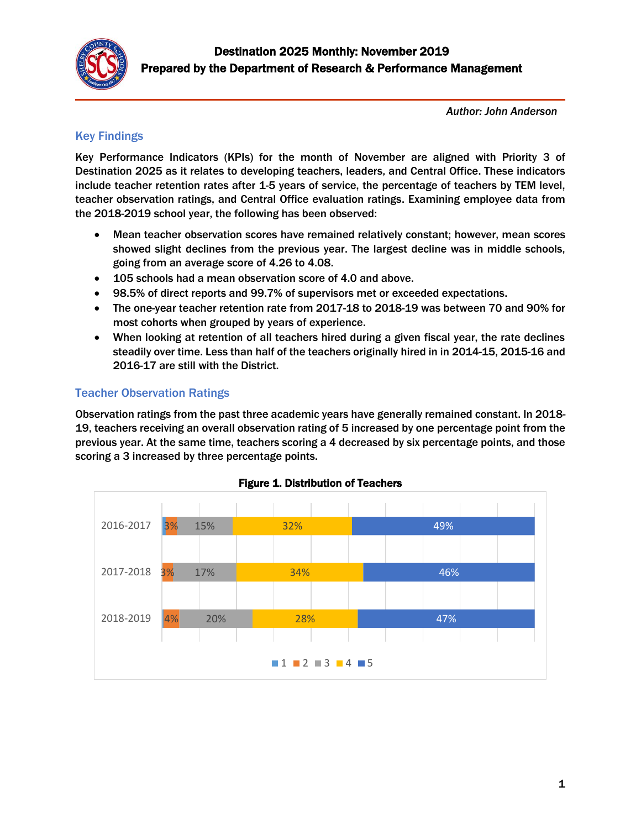

*Author: John Anderson* 

### Key Findings

Key Performance Indicators (KPIs) for the month of November are aligned with Priority 3 of Destination 2025 as it relates to developing teachers, leaders, and Central Office. These indicators include teacher retention rates after 1-5 years of service, the percentage of teachers by TEM level, teacher observation ratings, and Central Office evaluation ratings. Examining employee data from the 2018-2019 school year, the following has been observed:

- Mean teacher observation scores have remained relatively constant; however, mean scores showed slight declines from the previous year. The largest decline was in middle schools, going from an average score of 4.26 to 4.08.
- 105 schools had a mean observation score of 4.0 and above.
- 98.5% of direct reports and 99.7% of supervisors met or exceeded expectations.
- The one-year teacher retention rate from 2017-18 to 2018-19 was between 70 and 90% for most cohorts when grouped by years of experience.
- When looking at retention of all teachers hired during a given fiscal year, the rate declines steadily over time. Less than half of the teachers originally hired in in 2014-15, 2015-16 and 2016-17 are still with the District.

### Teacher Observation Ratings

Observation ratings from the past three academic years have generally remained constant. In 2018- 19, teachers receiving an overall observation rating of 5 increased by one percentage point from the previous year. At the same time, teachers scoring a 4 decreased by six percentage points, and those scoring a 3 increased by three percentage points.



## Figure 1. Distribution of Teachers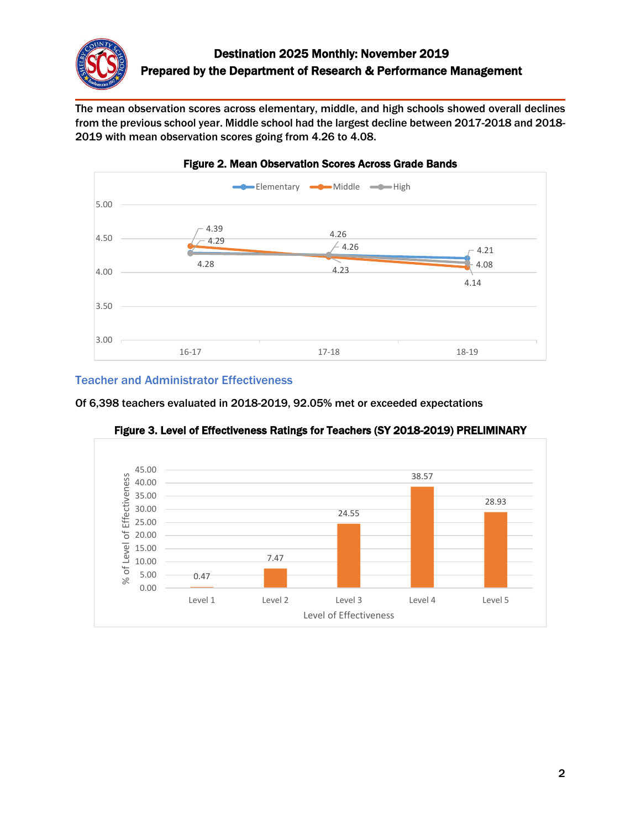

The mean observation scores across elementary, middle, and high schools showed overall declines from the previous school year. Middle school had the largest decline between 2017-2018 and 2018- 2019 with mean observation scores going from 4.26 to 4.08.



# Figure 2. Mean Observation Scores Across Grade Bands

### Teacher and Administrator Effectiveness

Of 6,398 teachers evaluated in 2018-2019, 92.05% met or exceeded expectations



Figure 3. Level of Effectiveness Ratings for Teachers (SY 2018-2019) PRELIMINARY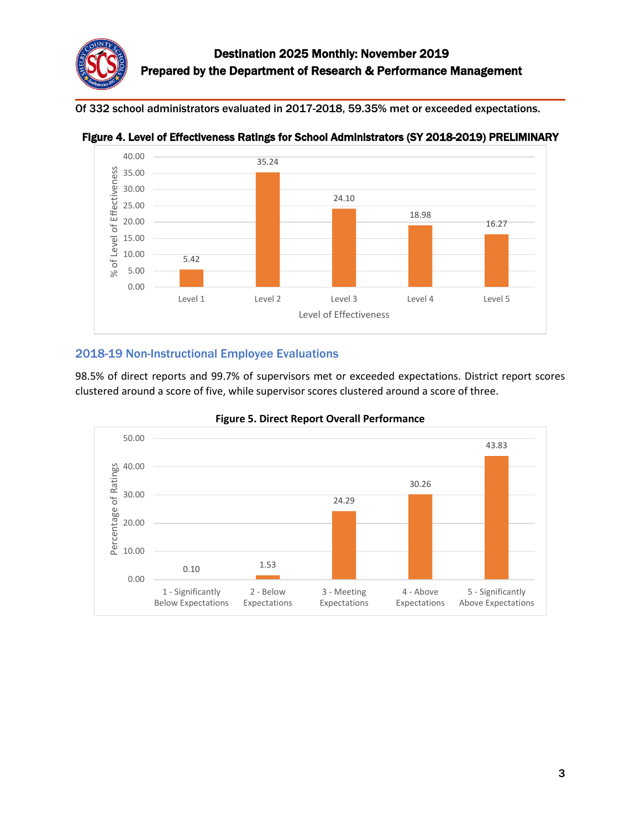Of 332 school administrators evaluated in 2017-2018, 59.35% met or exceeded expectations.





## 2018-19 Non-Instructional Employee Evaluations

98.5% of direct reports and 99.7% of supervisors met or exceeded expectations. District report scores clustered around a score of five, while supervisor scores clustered around a score of three.



### **Figure 5. Direct Report Overall Performance**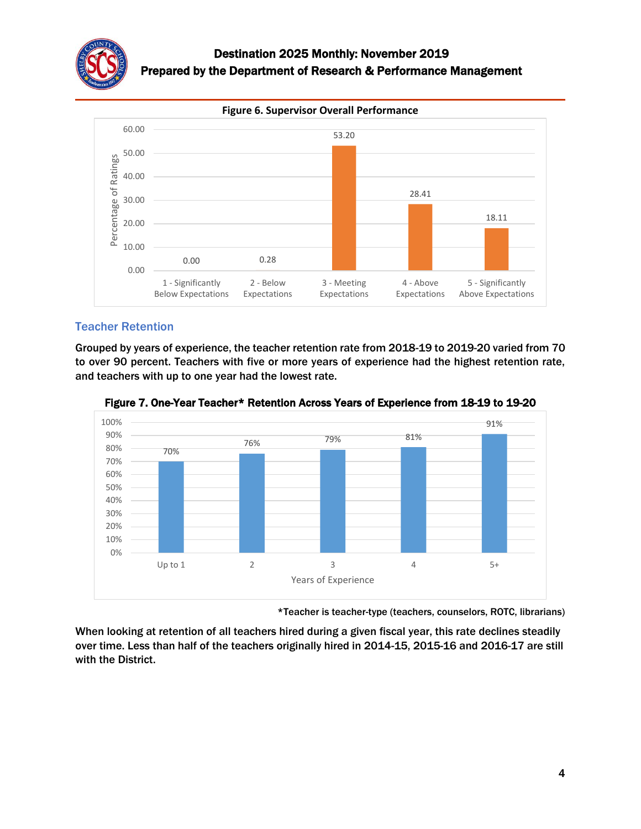



## Teacher Retention

Grouped by years of experience, the teacher retention rate from 2018-19 to 2019-20 varied from 70 to over 90 percent. Teachers with five or more years of experience had the highest retention rate, and teachers with up to one year had the lowest rate.



Figure 7. One-Year Teacher\* Retention Across Years of Experience from 18-19 to 19-20

\*Teacher is teacher-type (teachers, counselors, ROTC, librarians)

When looking at retention of all teachers hired during a given fiscal year, this rate declines steadily over time. Less than half of the teachers originally hired in 2014-15, 2015-16 and 2016-17 are still with the District.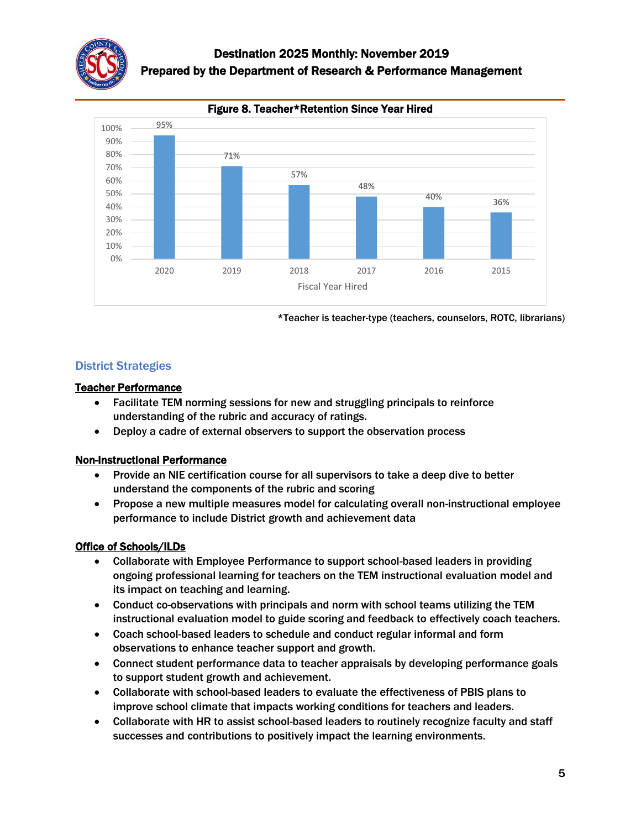

## Destination 2025 Monthly: November 2019 Prepared by the Department of Research & Performance Management



\*Teacher is teacher-type (teachers, counselors, ROTC, librarians)

### District Strategies

### Teacher Performance

- Facilitate TEM norming sessions for new and struggling principals to reinforce understanding of the rubric and accuracy of ratings.
- Deploy a cadre of external observers to support the observation process

### Non-Instructional Performance

- Provide an NIE certification course for all supervisors to take a deep dive to better understand the components of the rubric and scoring
- Propose a new multiple measures model for calculating overall non-instructional employee performance to include District growth and achievement data

### Office of Schools/ILDs

- Collaborate with Employee Performance to support school-based leaders in providing ongoing professional learning for teachers on the TEM instructional evaluation model and its impact on teaching and learning.
- Conduct co-observations with principals and norm with school teams utilizing the TEM instructional evaluation model to guide scoring and feedback to effectively coach teachers.
- Coach school-based leaders to schedule and conduct regular informal and form observations to enhance teacher support and growth.
- Connect student performance data to teacher appraisals by developing performance goals to support student growth and achievement.
- Collaborate with school-based leaders to evaluate the effectiveness of PBIS plans to improve school climate that impacts working conditions for teachers and leaders.
- Collaborate with HR to assist school-based leaders to routinely recognize faculty and staff successes and contributions to positively impact the learning environments.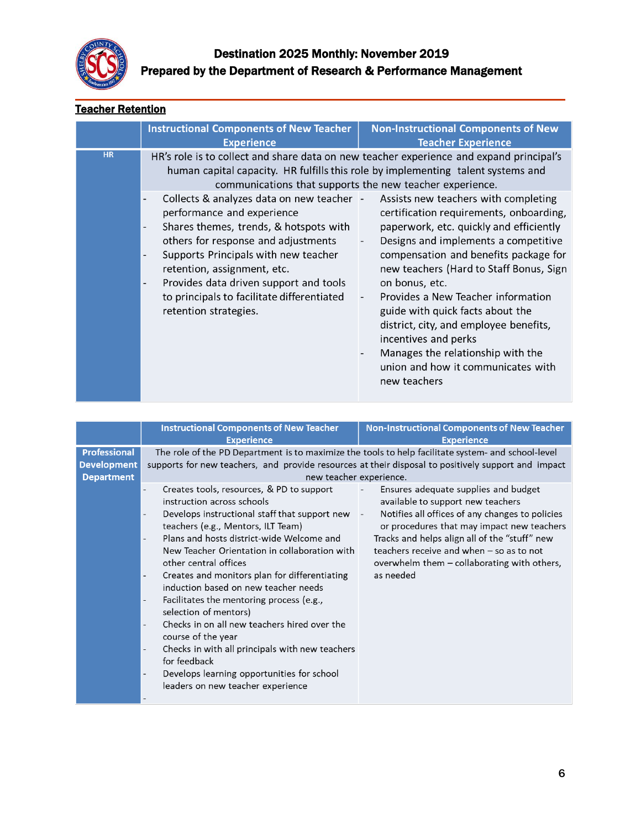

## **Teacher Retention**

|           | <b>Instructional Components of New Teacher</b><br><b>Experience</b>                                                                                                                                                                                                                                                                                                                                                                                                                                                                                                                                                                                                                 | <b>Non-Instructional Components of New</b><br><b>Teacher Experience</b>                                                                                                                                                                                                                                                                                                                                                                                                                                         |
|-----------|-------------------------------------------------------------------------------------------------------------------------------------------------------------------------------------------------------------------------------------------------------------------------------------------------------------------------------------------------------------------------------------------------------------------------------------------------------------------------------------------------------------------------------------------------------------------------------------------------------------------------------------------------------------------------------------|-----------------------------------------------------------------------------------------------------------------------------------------------------------------------------------------------------------------------------------------------------------------------------------------------------------------------------------------------------------------------------------------------------------------------------------------------------------------------------------------------------------------|
| <b>HR</b> | HR's role is to collect and share data on new teacher experience and expand principal's<br>human capital capacity. HR fulfills this role by implementing talent systems and<br>communications that supports the new teacher experience.<br>Collects & analyzes data on new teacher -<br>performance and experience<br>Shares themes, trends, & hotspots with<br>$\overline{\phantom{0}}$<br>others for response and adjustments<br>Supports Principals with new teacher<br>$\overline{\phantom{0}}$<br>retention, assignment, etc.<br>Provides data driven support and tools<br>$\qquad \qquad \blacksquare$<br>to principals to facilitate differentiated<br>retention strategies. | Assists new teachers with completing<br>certification requirements, onboarding,<br>paperwork, etc. quickly and efficiently<br>Designs and implements a competitive<br>compensation and benefits package for<br>new teachers (Hard to Staff Bonus, Sign<br>on bonus, etc.<br>Provides a New Teacher information<br>guide with quick facts about the<br>district, city, and employee benefits,<br>incentives and perks<br>Manages the relationship with the<br>union and how it communicates with<br>new teachers |

|                                                                | <b>Instructional Components of New Teacher</b>                                                                                                                                                                                                                                                                                                                                                                                                                                                                                                                                                                                                                                                                                               | <b>Non-Instructional Components of New Teacher</b>                                                                                                                                                                                                                                                                                                                                            |
|----------------------------------------------------------------|----------------------------------------------------------------------------------------------------------------------------------------------------------------------------------------------------------------------------------------------------------------------------------------------------------------------------------------------------------------------------------------------------------------------------------------------------------------------------------------------------------------------------------------------------------------------------------------------------------------------------------------------------------------------------------------------------------------------------------------------|-----------------------------------------------------------------------------------------------------------------------------------------------------------------------------------------------------------------------------------------------------------------------------------------------------------------------------------------------------------------------------------------------|
|                                                                | <b>Experience</b>                                                                                                                                                                                                                                                                                                                                                                                                                                                                                                                                                                                                                                                                                                                            | <b>Experience</b>                                                                                                                                                                                                                                                                                                                                                                             |
| <b>Professional</b><br><b>Development</b><br><b>Department</b> | The role of the PD Department is to maximize the tools to help facilitate system- and school-level<br>supports for new teachers, and provide resources at their disposal to positively support and impact<br>new teacher experience.                                                                                                                                                                                                                                                                                                                                                                                                                                                                                                         |                                                                                                                                                                                                                                                                                                                                                                                               |
|                                                                | Creates tools, resources, & PD to support<br>instruction across schools<br>Develops instructional staff that support new<br>teachers (e.g., Mentors, ILT Team)<br>Plans and hosts district-wide Welcome and<br>New Teacher Orientation in collaboration with<br>other central offices<br>Creates and monitors plan for differentiating<br>-<br>induction based on new teacher needs<br>Facilitates the mentoring process (e.g.,<br>$\overline{\phantom{a}}$<br>selection of mentors)<br>Checks in on all new teachers hired over the<br>course of the year<br>Checks in with all principals with new teachers<br>$\overline{\phantom{a}}$<br>for feedback<br>Develops learning opportunities for school<br>leaders on new teacher experience | Ensures adequate supplies and budget<br>$\overline{\phantom{a}}$<br>available to support new teachers<br>Notifies all offices of any changes to policies<br>$\overline{\phantom{a}}$<br>or procedures that may impact new teachers<br>Tracks and helps align all of the "stuff" new<br>teachers receive and when $-$ so as to not<br>overwhelm them – collaborating with others,<br>as needed |